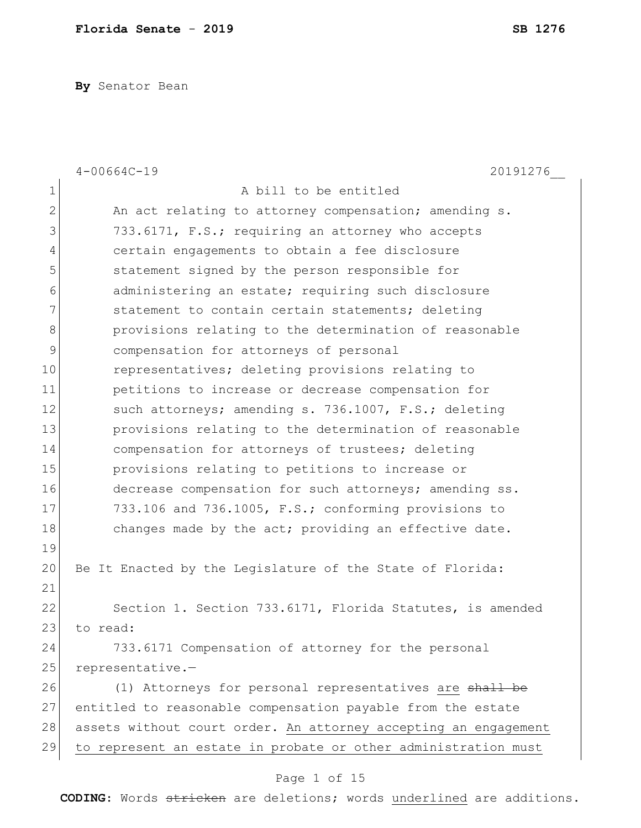**By** Senator Bean

|                | $4 - 00664C - 19$<br>20191276                                   |
|----------------|-----------------------------------------------------------------|
| $\mathbf 1$    | A bill to be entitled                                           |
| $\overline{2}$ | An act relating to attorney compensation; amending s.           |
| 3              | 733.6171, F.S.; requiring an attorney who accepts               |
| $\overline{4}$ | certain engagements to obtain a fee disclosure                  |
| 5              | statement signed by the person responsible for                  |
| 6              | administering an estate; requiring such disclosure              |
| 7              | statement to contain certain statements; deleting               |
| 8              | provisions relating to the determination of reasonable          |
| 9              | compensation for attorneys of personal                          |
| 10             | representatives; deleting provisions relating to                |
| 11             | petitions to increase or decrease compensation for              |
| 12             | such attorneys; amending s. 736.1007, F.S.; deleting            |
| 13             | provisions relating to the determination of reasonable          |
| 14             | compensation for attorneys of trustees; deleting                |
| 15             | provisions relating to petitions to increase or                 |
| 16             | decrease compensation for such attorneys; amending ss.          |
| 17             | 733.106 and 736.1005, F.S.; conforming provisions to            |
| 18             | changes made by the act; providing an effective date.           |
| 19             |                                                                 |
| 20             | Be It Enacted by the Legislature of the State of Florida:       |
| 21             |                                                                 |
| 22             | Section 1. Section 733.6171, Florida Statutes, is amended       |
| 23             | to read:                                                        |
| 24             | 733.6171 Compensation of attorney for the personal              |
| 25             | representative.-                                                |
| 26             | (1) Attorneys for personal representatives are shall be         |
| 27             | entitled to reasonable compensation payable from the estate     |
| 28             | assets without court order. An attorney accepting an engagement |
| 29             | to represent an estate in probate or other administration must  |

## Page 1 of 15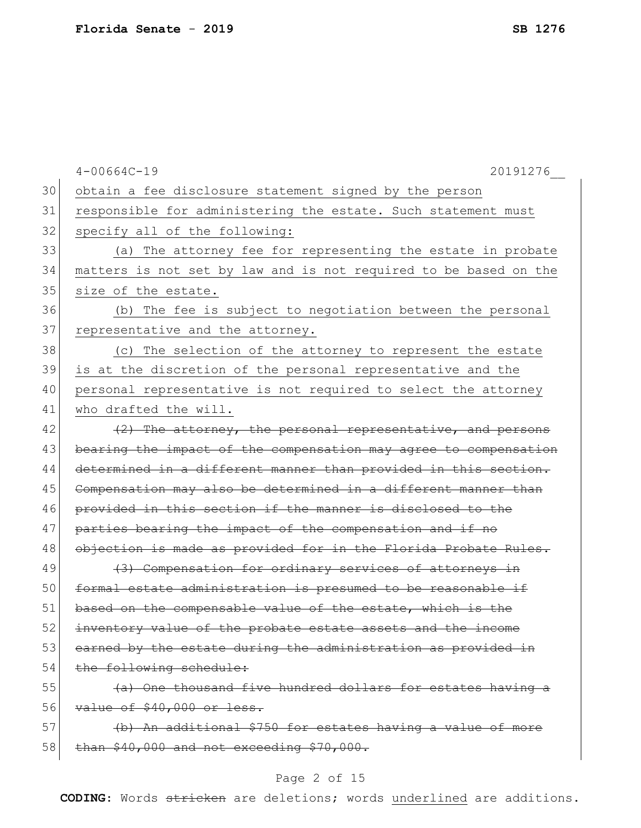|    | $4 - 00664C - 19$<br>20191276                                    |
|----|------------------------------------------------------------------|
| 30 | obtain a fee disclosure statement signed by the person           |
| 31 | responsible for administering the estate. Such statement must    |
| 32 | specify all of the following:                                    |
| 33 | (a) The attorney fee for representing the estate in probate      |
| 34 | matters is not set by law and is not required to be based on the |
| 35 | size of the estate.                                              |
| 36 | (b) The fee is subject to negotiation between the personal       |
| 37 | representative and the attorney.                                 |
| 38 | (c) The selection of the attorney to represent the estate        |
| 39 | is at the discretion of the personal representative and the      |
| 40 | personal representative is not required to select the attorney   |
| 41 | who drafted the will.                                            |
| 42 | (2) The attorney, the personal representative, and persons       |
| 43 | bearing the impact of the compensation may agree to compensation |
| 44 | determined in a different manner than provided in this section.  |
| 45 | Compensation may also be determined in a different manner than   |
| 46 | provided in this section if the manner is disclosed to the       |
| 47 | parties bearing the impact of the compensation and if no         |
| 48 | objection is made as provided for in the Florida Probate Rules.  |
| 49 | (3) Compensation for ordinary services of attorneys in           |
| 50 | formal estate administration is presumed to be reasonable if     |
| 51 | based on the compensable value of the estate, which is the       |
| 52 | inventory value of the probate estate assets and the income      |
| 53 | earned by the estate during the administration as provided in    |
| 54 | the following schedule:                                          |
| 55 | (a) One thousand five hundred dollars for estates having a       |
| 56 | value of \$40,000 or less.                                       |
| 57 | (b) An additional \$750 for estates having a value of more       |
| 58 | than \$40,000 and not exceeding \$70,000.                        |
|    |                                                                  |

## Page 2 of 15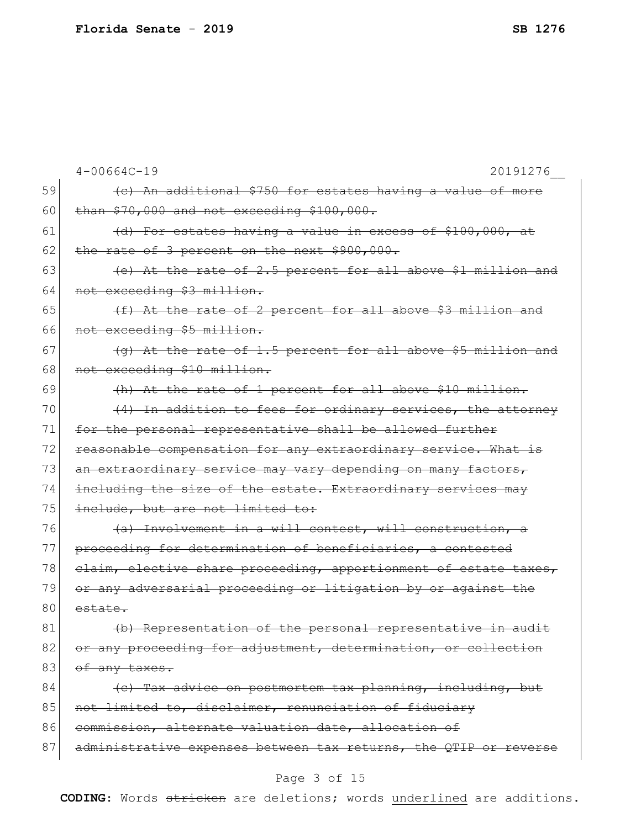|    | $4 - 00664C - 19$<br>20191276                                    |
|----|------------------------------------------------------------------|
| 59 | (c) An additional \$750 for estates having a value of more       |
| 60 | than \$70,000 and not exceeding \$100,000.                       |
| 61 | (d) For estates having a value in excess of \$100,000, at        |
| 62 | the rate of 3 percent on the next \$900,000.                     |
| 63 | (e) At the rate of 2.5 percent for all above \$1 million and     |
| 64 | not exceeding \$3 million.                                       |
| 65 | (f) At the rate of 2 percent for all above \$3 million and       |
| 66 | not exceeding \$5 million.                                       |
| 67 | $(q)$ At the rate of 1.5 percent for all above \$5 million and   |
| 68 | not exceeding \$10 million.                                      |
| 69 | (h) At the rate of 1 percent for all above \$10 million.         |
| 70 | (4) In addition to fees for ordinary services, the attorney      |
| 71 | for the personal representative shall be allowed further         |
| 72 | reasonable compensation for any extraordinary service. What is   |
| 73 | an extraordinary service may vary depending on many factors,     |
| 74 | including the size of the estate. Extraordinary services may     |
| 75 | include, but are not limited to:                                 |
| 76 | (a) Involvement in a will contest, will construction, a          |
| 77 | proceeding for determination of beneficiaries, a contested       |
| 78 | elaim, elective share proceeding, apportionment of estate taxes, |
| 79 | or any adversarial proceeding or litigation by or against the    |
| 80 | estate.                                                          |
| 81 | (b) Representation of the personal representative in audit       |
| 82 | or any proceeding for adjustment, determination, or collection   |
| 83 | <del>of any taxes.</del>                                         |
| 84 | (c) Tax advice on postmortem tax planning, including, but        |
| 85 | not limited to, disclaimer, renunciation of fiduciary            |
| 86 | commission, alternate valuation date, allocation of              |
| 87 | administrative expenses between tax returns, the QTIP or reverse |
|    |                                                                  |

## Page 3 of 15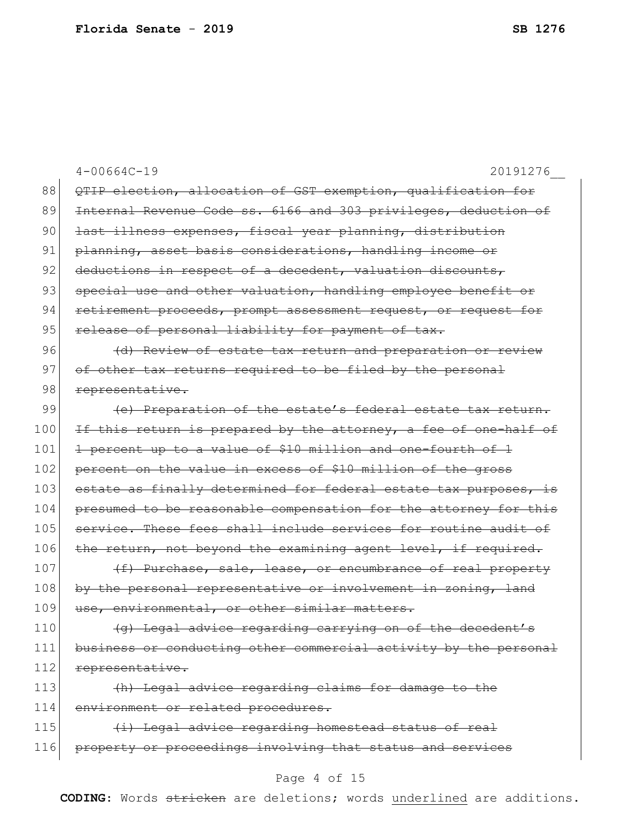|     | $4 - 00664C - 19$<br>20191276                                    |
|-----|------------------------------------------------------------------|
| 88  | QTIP election, allocation of GST exemption, qualification for    |
| 89  | Internal Revenue Code ss. 6166 and 303 privileges, deduction of  |
| 90  | last illness expenses, fiscal year planning, distribution        |
| 91  | planning, asset basis considerations, handling income or         |
| 92  | deductions in respect of a decedent, valuation discounts,        |
| 93  | special use and other valuation, handling employee benefit or    |
| 94  | retirement proceeds, prompt assessment request, or request for   |
| 95  | release of personal liability for payment of tax.                |
| 96  | (d) Review of estate tax return and preparation or review        |
| 97  | of other tax returns required to be filed by the personal        |
| 98  | representative.                                                  |
| 99  | (e) Preparation of the estate's federal estate tax return.       |
| 100 | If this return is prepared by the attorney, a fee of one-half of |
| 101 | 1 percent up to a value of \$10 million and one-fourth of 1      |
| 102 | percent on the value in excess of \$10 million of the gross      |
| 103 | estate as finally determined for federal estate tax purposes, is |
| 104 | presumed to be reasonable compensation for the attorney for this |
| 105 | service. These fees shall include services for routine audit of  |
| 106 | the return, not beyond the examining agent level, if required.   |
| 107 | (f) Purchase, sale, lease, or encumbrance of real property       |
| 108 | by the personal representative or involvement in zoning, land    |
| 109 | use, environmental, or other similar matters.                    |
| 110 | (g) Legal advice regarding carrying on of the decedent's         |
| 111 | business or conducting other commercial activity by the personal |
| 112 | representative.                                                  |
| 113 | (h) Legal advice regarding claims for damage to the              |
| 114 | environment or related procedures.                               |
| 115 | (i) Legal advice regarding homestead status of real              |
| 116 | property or proceedings involving that status and services       |
|     | Page 4 of 15                                                     |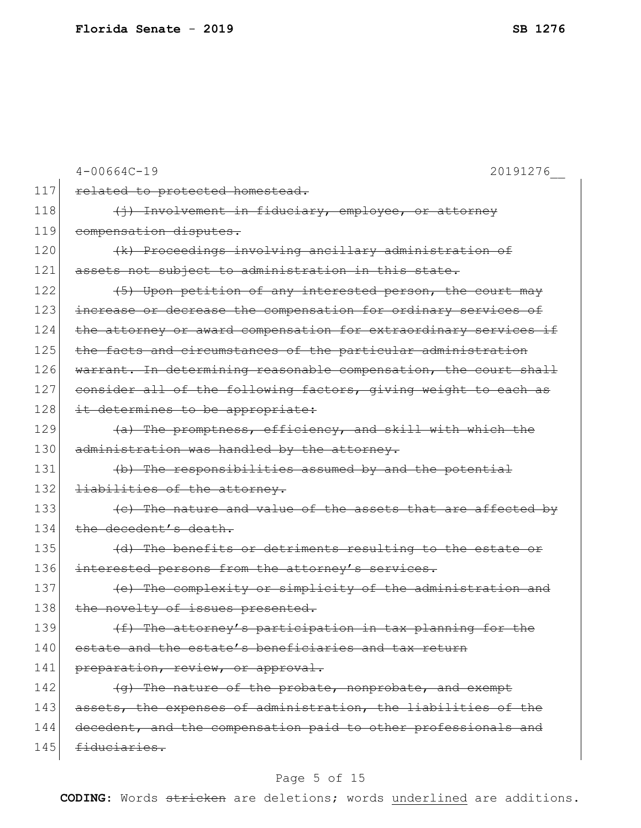|     | $4 - 00664C - 19$<br>20191276                                    |
|-----|------------------------------------------------------------------|
| 117 | related to protected homestead.                                  |
| 118 | (i) Involvement in fiduciary, employee, or attorney              |
| 119 | compensation disputes.                                           |
| 120 | (k) Proceedings involving ancillary administration of            |
| 121 | assets not subject to administration in this state.              |
| 122 | (5) Upon petition of any interested person, the court may        |
| 123 | increase or decrease the compensation for ordinary services of   |
| 124 | the attorney or award compensation for extraordinary services if |
| 125 | the facts and circumstances of the particular administration     |
| 126 | warrant. In determining reasonable compensation, the court shall |
| 127 | consider all of the following factors, giving weight to each as  |
| 128 | it determines to be appropriate:                                 |
| 129 | (a) The promptness, efficiency, and skill with which the         |
| 130 | administration was handled by the attorney.                      |
| 131 | (b) The responsibilities assumed by and the potential            |
| 132 | liabilities of the attorney.                                     |
| 133 | (c) The nature and value of the assets that are affected by      |
| 134 | the decedent's death.                                            |
| 135 | (d) The benefits or detriments resulting to the estate or        |
| 136 | interested persons from the attorney's services.                 |
| 137 | (e) The complexity or simplicity of the administration and       |
| 138 | the novelty of issues presented.                                 |
| 139 | (f) The attorney's participation in tax planning for the         |
| 140 | estate and the estate's beneficiaries and tax return             |
| 141 | preparation, review, or approval.                                |
| 142 | (g) The nature of the probate, nonprobate, and exempt            |
| 143 | assets, the expenses of administration, the liabilities of the   |
| 144 | decedent, and the compensation paid to other professionals and   |
| 145 | fiduciaries.                                                     |
|     |                                                                  |

## Page 5 of 15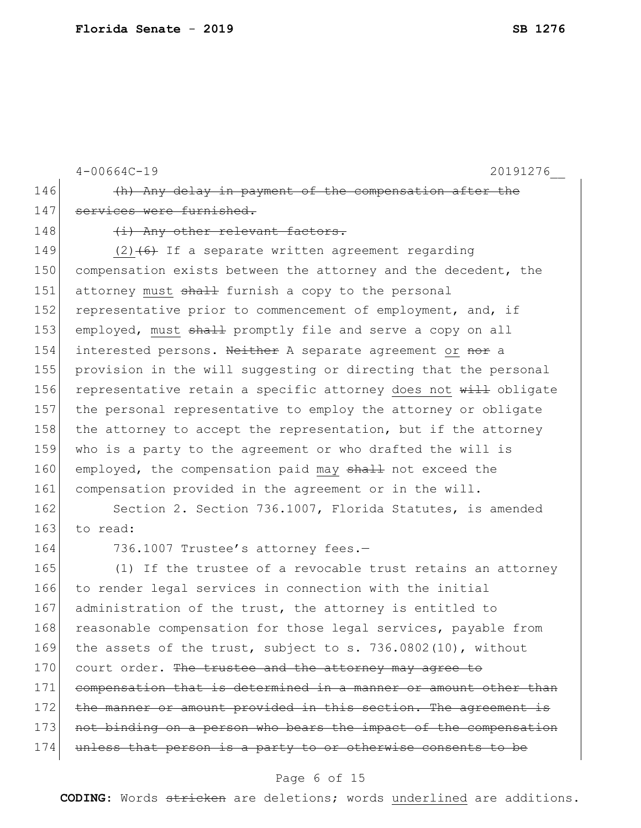4-00664C-19 20191276\_\_ 146 (h) Any delay in payment of the compensation after the 147 services were furnished. 148 (i) Any other relevant factors. 149  $(2)$   $(6)$  If a separate written agreement regarding 150 compensation exists between the attorney and the decedent, the 151 attorney must shall furnish a copy to the personal 152 representative prior to commencement of employment, and, if 153 employed, must shall promptly file and serve a copy on all 154 interested persons. Neither A separate agreement or nor a 155 provision in the will suggesting or directing that the personal 156 representative retain a specific attorney does not will obligate 157 the personal representative to employ the attorney or obligate 158 the attorney to accept the representation, but if the attorney 159 who is a party to the agreement or who drafted the will is 160 employed, the compensation paid may shall not exceed the 161 compensation provided in the agreement or in the will. 162 Section 2. Section 736.1007, Florida Statutes, is amended 163 to read: 164 736.1007 Trustee's attorney fees.-165 (1) If the trustee of a revocable trust retains an attorney 166 to render legal services in connection with the initial 167 administration of the trust, the attorney is entitled to 168 reasonable compensation for those legal services, payable from 169 the assets of the trust, subject to s. 736.0802(10), without 170 court order. The trustee and the attorney may agree to 171 compensation that is determined in a manner or amount other than

172 the manner or amount provided in this section. The agreement is 173 not binding on a person who bears the impact of the compensation

174 unless that person is a party to or otherwise consents to be

#### Page 6 of 15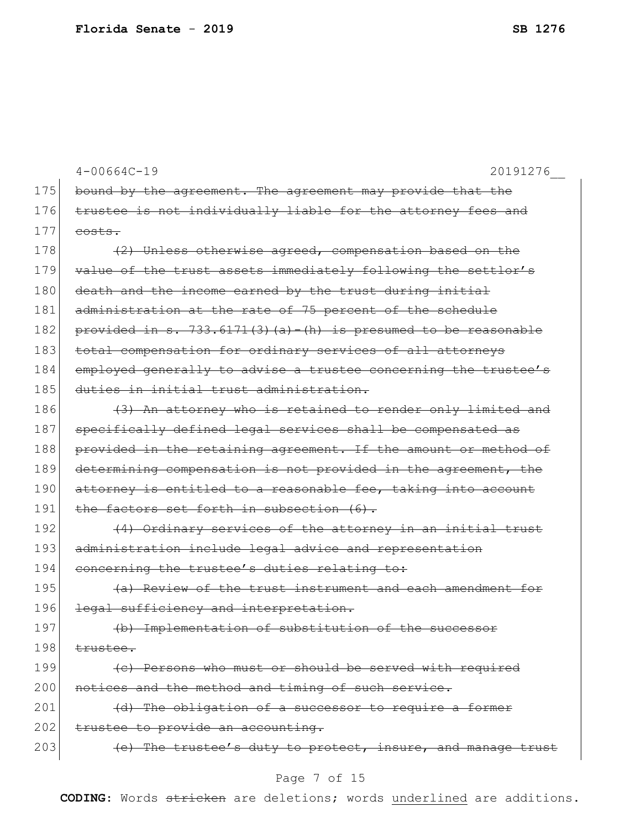|     | $4 - 00664C - 19$<br>20191276                                      |
|-----|--------------------------------------------------------------------|
| 175 | bound by the agreement. The agreement may provide that the         |
| 176 | trustee is not individually liable for the attorney fees and       |
| 177 | costs.                                                             |
| 178 | (2) Unless otherwise agreed, compensation based on the             |
| 179 | value of the trust assets immediately following the settlor's      |
| 180 | death and the income earned by the trust during initial            |
| 181 | administration at the rate of 75 percent of the schedule           |
| 182 | provided in $s. 733.6171(3)(a) - (h)$ is presumed to be reasonable |
| 183 | total compensation for ordinary services of all attorneys          |
| 184 | employed generally to advise a trustee concerning the trustee's    |
| 185 | duties in initial trust administration.                            |
| 186 | (3) An attorney who is retained to render only limited and         |
| 187 | specifically defined legal services shall be compensated as        |
| 188 | provided in the retaining agreement. If the amount or method of    |
| 189 | determining compensation is not provided in the agreement, the     |
| 190 | attorney is entitled to a reasonable fee, taking into account      |
| 191 | the factors set forth in subsection (6).                           |
| 192 | (4) Ordinary services of the attorney in an initial trust          |
| 193 | administration include legal advice and representation             |
| 194 | concerning the trustee's duties relating to:                       |
| 195 | (a) Review of the trust instrument and each amendment for          |
| 196 | legal sufficiency and interpretation.                              |
| 197 | (b) Implementation of substitution of the successor                |
| 198 | trustee.                                                           |
| 199 | (c) Persons who must or should be served with required             |
| 200 | notices and the method and timing of such service.                 |
| 201 | (d) The obligation of a successor to require a former              |
| 202 | trustee to provide an accounting.                                  |
| 203 | (e) The trustee's duty to protect, insure, and manage trust        |

## Page 7 of 15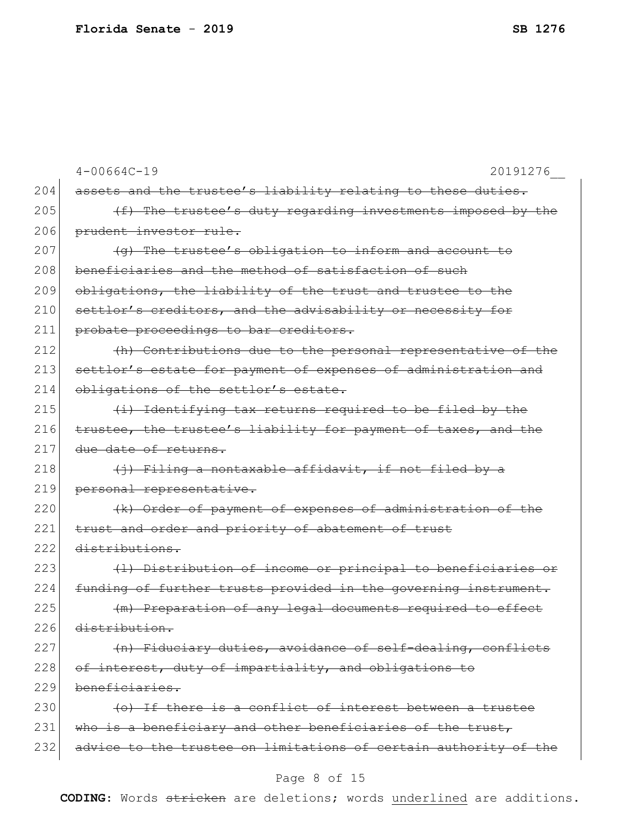|     | $4 - 00664C - 19$<br>20191276                                    |
|-----|------------------------------------------------------------------|
| 204 | assets and the trustee's liability relating to these duties.     |
| 205 | (f) The trustee's duty regarding investments imposed by the      |
| 206 | prudent investor rule.                                           |
| 207 | (g) The trustee's obligation to inform and account to            |
| 208 | beneficiaries and the method of satisfaction of such             |
| 209 | obligations, the liability of the trust and trustee to the       |
| 210 | settlor's creditors, and the advisability or necessity for       |
| 211 | probate proceedings to bar creditors.                            |
| 212 | (h) Contributions due to the personal representative of the      |
| 213 | settlor's estate for payment of expenses of administration and   |
| 214 | obligations of the settlor's estate.                             |
| 215 | (i) Identifying tax returns required to be filed by the          |
| 216 | trustee, the trustee's liability for payment of taxes, and the   |
| 217 | due date of returns.                                             |
| 218 | (i) Filing a nontaxable affidavit, if not filed by a             |
| 219 | personal representative.                                         |
| 220 | (k) Order of payment of expenses of administration of the        |
| 221 | trust and order and priority of abatement of trust               |
| 222 | distributions.                                                   |
| 223 | (1) Distribution of income or principal to beneficiaries or      |
| 224 | funding of further trusts provided in the governing instrument.  |
| 225 | (m) Preparation of any legal documents required to effect        |
| 226 | distribution.                                                    |
| 227 | (n) Fiduciary duties, avoidance of self-dealing, conflicts       |
| 228 | of interest, duty of impartiality, and obligations to            |
| 229 | beneficiaries.                                                   |
| 230 | (o) If there is a conflict of interest between a trustee         |
| 231 | who is a beneficiary and other beneficiaries of the trust,       |
| 232 | advice to the trustee on limitations of certain authority of the |
|     |                                                                  |

## Page 8 of 15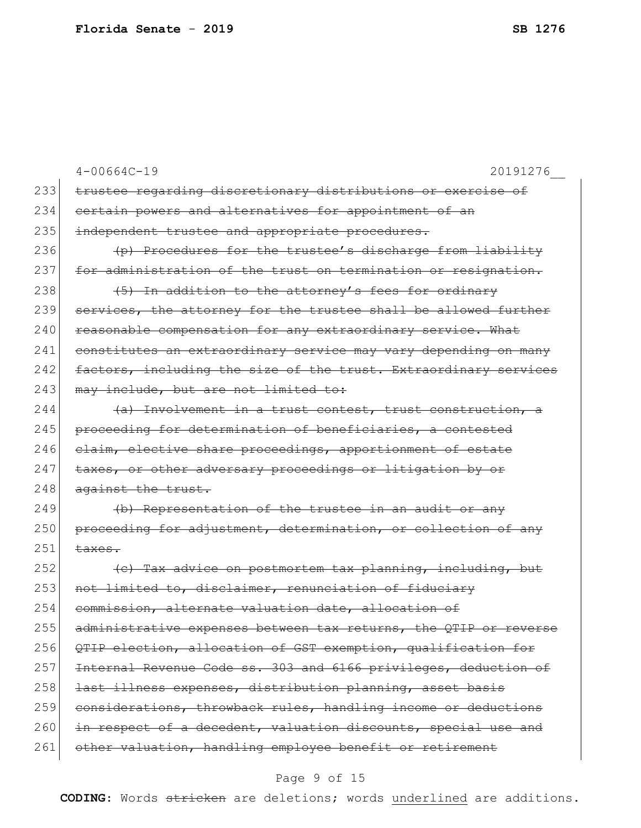|     | $4 - 00664C - 19$<br>20191276                                    |
|-----|------------------------------------------------------------------|
| 233 | trustee regarding discretionary distributions or exercise of     |
| 234 | certain powers and alternatives for appointment of an            |
| 235 | independent trustee and appropriate procedures.                  |
| 236 | (p) Procedures for the trustee's discharge from liability        |
| 237 | for administration of the trust on termination or resignation.   |
| 238 | (5) In addition to the attorney's fees for ordinary              |
| 239 | services, the attorney for the trustee shall be allowed further  |
| 240 | reasonable compensation for any extraordinary service. What      |
| 241 | constitutes an extraordinary service may vary depending on many  |
| 242 | factors, including the size of the trust. Extraordinary services |
| 243 | may include, but are not limited to:                             |
| 244 | (a) Involvement in a trust contest, trust construction, a        |
| 245 | proceeding for determination of beneficiaries, a contested       |
| 246 | claim, elective share proceedings, apportionment of estate       |
| 247 | taxes, or other adversary proceedings or litigation by or        |
| 248 | against the trust.                                               |
| 249 | (b) Representation of the trustee in an audit or any             |
| 250 | proceeding for adjustment, determination, or collection of any   |
| 251 | <del>taxes.</del>                                                |
| 252 | (e) Tax advice on postmortem tax planning, including, but        |
| 253 | not limited to, disclaimer, renunciation of fiduciary            |
| 254 | commission, alternate valuation date, allocation of              |
| 255 | administrative expenses between tax returns, the QTIP or reverse |
| 256 | QTIP election, allocation of GST exemption, qualification for    |
| 257 | Internal Revenue Code ss. 303 and 6166 privileges, deduction of  |
| 258 | last illness expenses, distribution planning, asset basis        |
| 259 | considerations, throwback rules, handling income or deductions   |
| 260 | in respect of a decedent, valuation discounts, special use and   |
| 261 | other valuation, handling employee benefit or retirement         |
|     |                                                                  |

## Page 9 of 15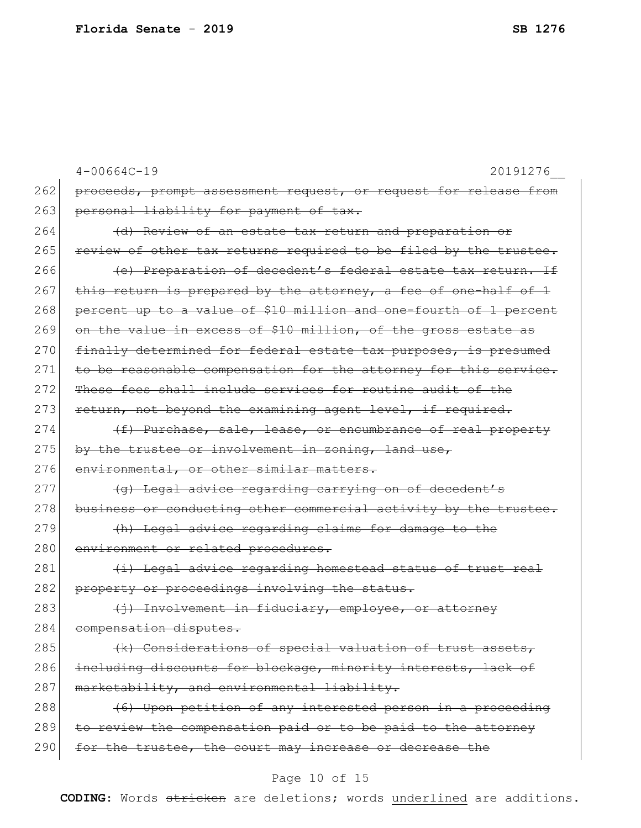|     | $4 - 00664C - 19$<br>20191276                                     |
|-----|-------------------------------------------------------------------|
| 262 | proceeds, prompt assessment request, or request for release from  |
| 263 | personal liability for payment of tax.                            |
| 264 | (d) Review of an estate tax return and preparation or             |
| 265 | review of other tax returns required to be filed by the trustee.  |
| 266 | (e) Preparation of decedent's federal estate tax return. If       |
| 267 | this return is prepared by the attorney, a fee of one-half of 1   |
| 268 | percent up to a value of \$10 million and one-fourth of 1 percent |
| 269 | on the value in excess of \$10 million, of the gross estate as    |
| 270 | finally determined for federal estate tax purposes, is presumed   |
| 271 | to be reasonable compensation for the attorney for this service.  |
| 272 | These fees shall include services for routine audit of the        |
| 273 | return, not beyond the examining agent level, if required.        |
| 274 | (f) Purchase, sale, lease, or encumbrance of real property        |
| 275 | by the trustee or involvement in zoning, land use,                |
| 276 | environmental, or other similar matters.                          |
| 277 | (g) Legal advice regarding carrying on of decedent's              |
| 278 | business or conducting other commercial activity by the trustee.  |
| 279 | (h) Legal advice regarding claims for damage to the               |
| 280 | environment or related procedures.                                |
| 281 | (i) Legal advice regarding homestead status of trust real         |
| 282 | property or proceedings involving the status.                     |
| 283 | (i) Involvement in fiduciary, employee, or attorney               |
| 284 | compensation disputes.                                            |
| 285 | (k) Considerations of special valuation of trust assets,          |
| 286 | including discounts for blockage, minority interests, lack of     |
| 287 | marketability, and environmental liability.                       |
| 288 | (6) Upon petition of any interested person in a proceeding        |
| 289 | to review the compensation paid or to be paid to the attorney     |
| 290 | for the trustee, the court may increase or decrease the           |
|     |                                                                   |

## Page 10 of 15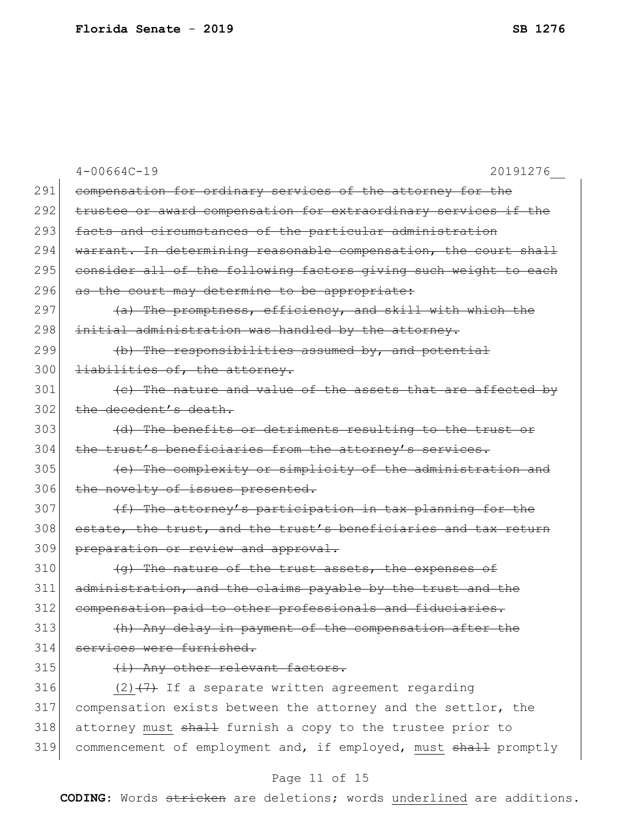|     | $4 - 00664C - 19$<br>20191276                                    |
|-----|------------------------------------------------------------------|
| 291 | compensation for ordinary services of the attorney for the       |
| 292 | trustee or award compensation for extraordinary services if the  |
| 293 | facts and circumstances of the particular administration         |
| 294 | warrant. In determining reasonable compensation, the court shall |
| 295 | consider all of the following factors giving such weight to each |
| 296 | as the court may determine to be appropriate:                    |
| 297 | (a) The promptness, efficiency, and skill with which the         |
| 298 | initial administration was handled by the attorney.              |
| 299 | (b) The responsibilities assumed by, and potential               |
| 300 | liabilities of, the attorney.                                    |
| 301 | (e) The nature and value of the assets that are affected by      |
| 302 | the decedent's death.                                            |
| 303 | (d) The benefits or detriments resulting to the trust or         |
| 304 | the trust's beneficiaries from the attorney's services.          |
| 305 | (e) The complexity or simplicity of the administration and       |
| 306 | the novelty of issues presented.                                 |
| 307 | (f) The attorney's participation in tax planning for the         |
| 308 | estate, the trust, and the trust's beneficiaries and tax return  |
| 309 | preparation or review and approval.                              |
| 310 | (g) The nature of the trust assets, the expenses of              |
| 311 | administration, and the claims payable by the trust and the      |
| 312 | compensation paid to other professionals and fiduciaries.        |
| 313 | (h) Any delay in payment of the compensation after the           |
| 314 | services were furnished.                                         |
| 315 | (i) Any other relevant factors.                                  |
| 316 | $(2)$ $(7)$ If a separate written agreement regarding            |
| 317 | compensation exists between the attorney and the settlor, the    |
| 318 | attorney must shall furnish a copy to the trustee prior to       |
| 319 | commencement of employment and, if employed, must shall promptly |
|     | Page 11 of 15                                                    |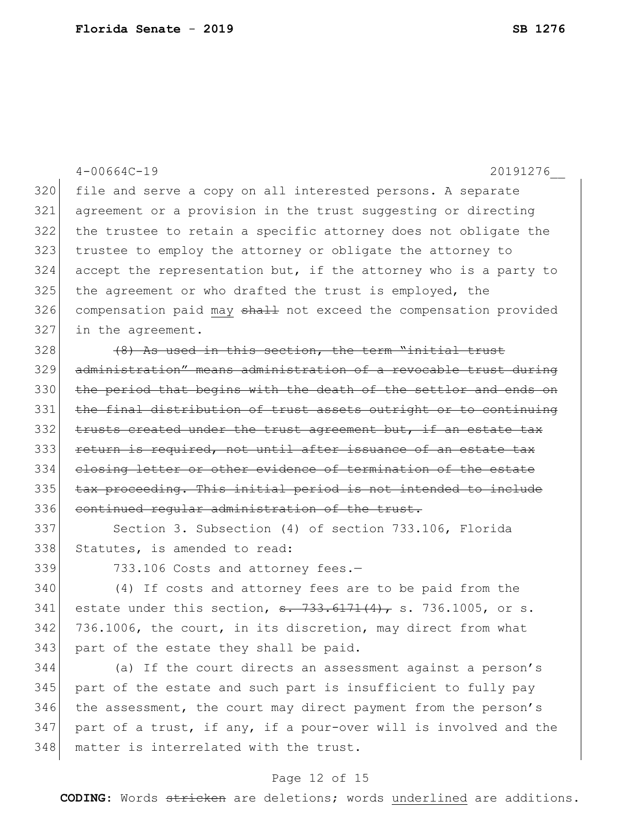|     | $4 - 00664C - 19$<br>20191276                                                                                 |
|-----|---------------------------------------------------------------------------------------------------------------|
| 320 | file and serve a copy on all interested persons. A separate                                                   |
| 321 | agreement or a provision in the trust suggesting or directing                                                 |
| 322 | the trustee to retain a specific attorney does not obligate the                                               |
| 323 | trustee to employ the attorney or obligate the attorney to                                                    |
| 324 | accept the representation but, if the attorney who is a party to                                              |
| 325 | the agreement or who drafted the trust is employed, the                                                       |
| 326 | compensation paid may shall not exceed the compensation provided                                              |
| 327 | in the agreement.                                                                                             |
| 328 | (8) As used in this section, the term "initial trust                                                          |
| 329 | administration" means administration of a revocable trust during                                              |
| 330 | the period that begins with the death of the settlor and ends on                                              |
| 331 | the final distribution of trust assets outright or to continuing                                              |
| 332 | trusts created under the trust agreement but, if an estate tax                                                |
| 333 | return is required, not until after issuance of an estate tax                                                 |
| 334 | closing letter or other evidence of termination of the estate                                                 |
| 335 | tax proceeding. This initial period is not intended to include                                                |
| 336 | continued regular administration of the trust.                                                                |
| 337 | Section 3. Subsection (4) of section 733.106, Florida                                                         |
| 338 | Statutes, is amended to read:                                                                                 |
| 339 | 733.106 Costs and attorney fees.-                                                                             |
| 340 | (4) If costs and attorney fees are to be paid from the                                                        |
| 341 | estate under this section, $\frac{1}{2}$ , $\frac{1}{3}$ , $\frac{1}{4}$ , $\frac{1}{4}$ , s. 736.1005, or s. |
| 342 | 736.1006, the court, in its discretion, may direct from what                                                  |
| 343 | part of the estate they shall be paid.                                                                        |
| 344 | (a) If the court directs an assessment against a person's                                                     |
| 345 | part of the estate and such part is insufficient to fully pay                                                 |
| 346 | the assessment, the court may direct payment from the person's                                                |
| 347 | part of a trust, if any, if a pour-over will is involved and the                                              |

# 348 matter is interrelated with the trust.

#### Page 12 of 15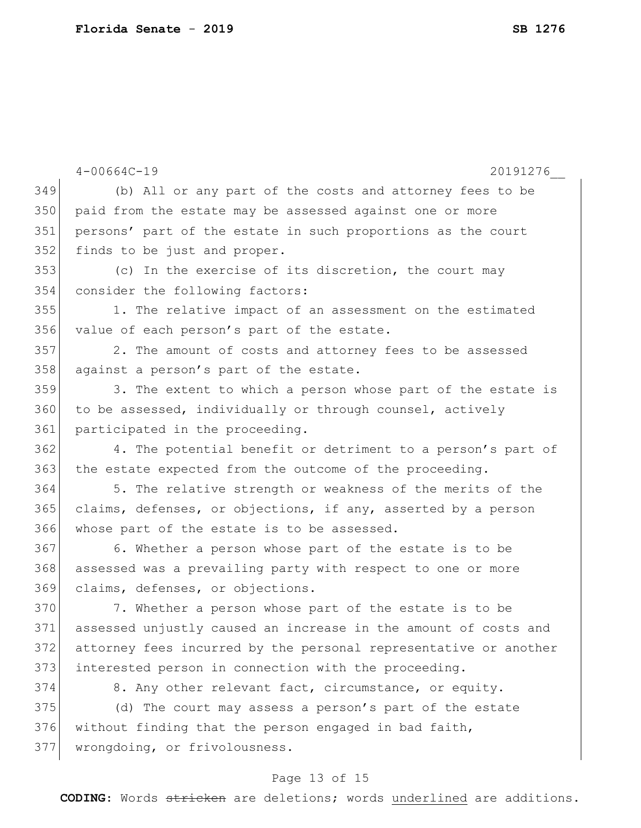|     | $4 - 00664C - 19$<br>20191276                                    |
|-----|------------------------------------------------------------------|
| 349 | (b) All or any part of the costs and attorney fees to be         |
| 350 | paid from the estate may be assessed against one or more         |
| 351 | persons' part of the estate in such proportions as the court     |
| 352 | finds to be just and proper.                                     |
| 353 | (c) In the exercise of its discretion, the court may             |
| 354 | consider the following factors:                                  |
| 355 | 1. The relative impact of an assessment on the estimated         |
| 356 | value of each person's part of the estate.                       |
| 357 | 2. The amount of costs and attorney fees to be assessed          |
| 358 | against a person's part of the estate.                           |
| 359 | 3. The extent to which a person whose part of the estate is      |
| 360 | to be assessed, individually or through counsel, actively        |
| 361 | participated in the proceeding.                                  |
| 362 | 4. The potential benefit or detriment to a person's part of      |
| 363 | the estate expected from the outcome of the proceeding.          |
| 364 | 5. The relative strength or weakness of the merits of the        |
| 365 | claims, defenses, or objections, if any, asserted by a person    |
| 366 | whose part of the estate is to be assessed.                      |
| 367 | 6. Whether a person whose part of the estate is to be            |
| 368 | assessed was a prevailing party with respect to one or more      |
| 369 | claims, defenses, or objections.                                 |
| 370 | 7. Whether a person whose part of the estate is to be            |
| 371 | assessed unjustly caused an increase in the amount of costs and  |
| 372 | attorney fees incurred by the personal representative or another |
| 373 | interested person in connection with the proceeding.             |
| 374 | 8. Any other relevant fact, circumstance, or equity.             |
| 375 | (d) The court may assess a person's part of the estate           |
| 376 | without finding that the person engaged in bad faith,            |
| 377 | wrongdoing, or frivolousness.                                    |

## Page 13 of 15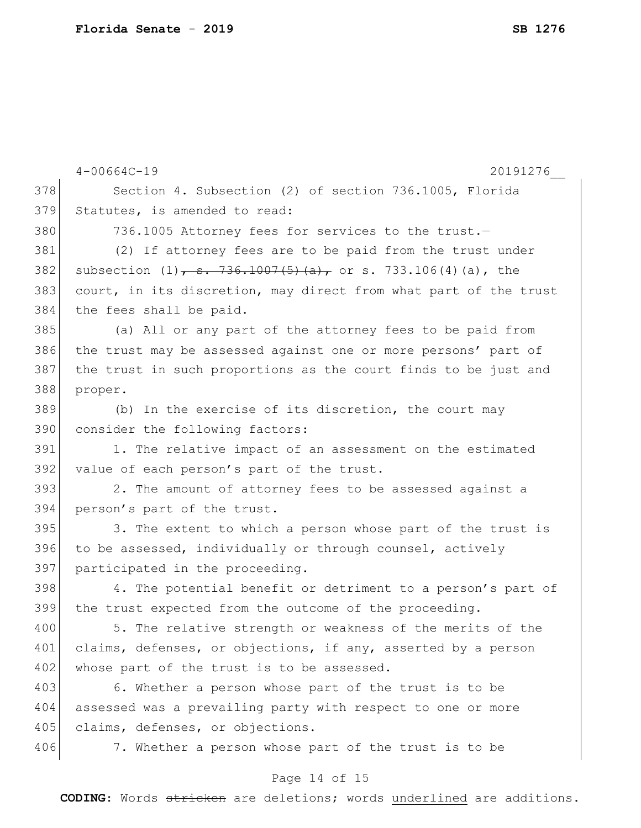|     | 20191276<br>$4 - 00664C - 19$                                    |
|-----|------------------------------------------------------------------|
| 378 | Section 4. Subsection (2) of section 736.1005, Florida           |
| 379 | Statutes, is amended to read:                                    |
| 380 | 736.1005 Attorney fees for services to the trust.-               |
| 381 | (2) If attorney fees are to be paid from the trust under         |
| 382 | subsection $(1)$ , s. 736.1007(5)(a), or s. 733.106(4)(a), the   |
| 383 | court, in its discretion, may direct from what part of the trust |
| 384 | the fees shall be paid.                                          |
| 385 | (a) All or any part of the attorney fees to be paid from         |
| 386 | the trust may be assessed against one or more persons' part of   |
| 387 | the trust in such proportions as the court finds to be just and  |
| 388 | proper.                                                          |
| 389 | (b) In the exercise of its discretion, the court may             |
| 390 | consider the following factors:                                  |
| 391 | 1. The relative impact of an assessment on the estimated         |
| 392 | value of each person's part of the trust.                        |
| 393 | 2. The amount of attorney fees to be assessed against a          |
| 394 | person's part of the trust.                                      |
| 395 | 3. The extent to which a person whose part of the trust is       |
| 396 | to be assessed, individually or through counsel, actively        |
| 397 | participated in the proceeding.                                  |
| 398 | 4. The potential benefit or detriment to a person's part of      |
| 399 | the trust expected from the outcome of the proceeding.           |
| 400 | 5. The relative strength or weakness of the merits of the        |
| 401 | claims, defenses, or objections, if any, asserted by a person    |
| 402 | whose part of the trust is to be assessed.                       |
| 403 | 6. Whether a person whose part of the trust is to be             |
| 404 | assessed was a prevailing party with respect to one or more      |
| 405 | claims, defenses, or objections.                                 |
| 406 | 7. Whether a person whose part of the trust is to be             |
|     |                                                                  |

## Page 14 of 15